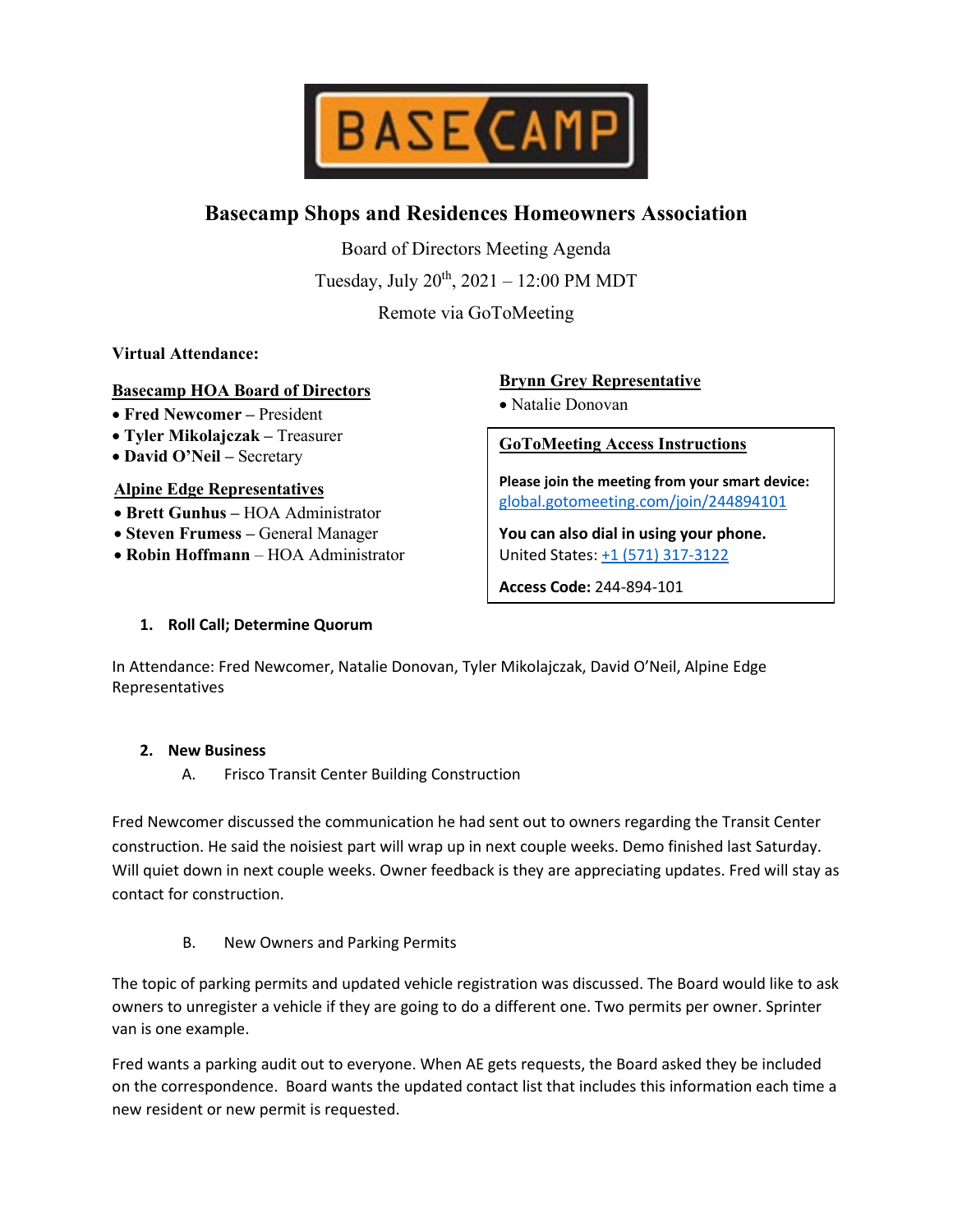

# **Basecamp Shops and Residences Homeowners Association**

Board of Directors Meeting Agenda

Tuesday, July  $20^{th}$ ,  $2021 - 12:00$  PM MDT

Remote via GoToMeeting

## **Virtual Attendance:**

## **Basecamp HOA Board of Directors**

- **Fred Newcomer –** President
- **Tyler Mikolajczak –** Treasurer
- **David O'Neil –** Secretary

## **Alpine Edge Representatives**

- **Brett Gunhus –** HOA Administrator
- **Steven Frumess –** General Manager
- **Robin Hoffmann** HOA Administrator

# **Brynn Grey Representative**

• Natalie Donovan

**GoToMeeting Access Instructions**

**Please join the meeting from your smart device:** [global.gotomeeting.com/join/244894101](https://global.gotomeeting.com/join/244894101)

**You can also dial in using your phone.** United States: [+1 \(571\) 317-3122](tel:+15713173122,,244894101)

**Access Code:** 244-894-101

# **1. Roll Call; Determine Quorum**

In Attendance: Fred Newcomer, Natalie Donovan, Tyler Mikolajczak, David O'Neil, Alpine Edge Representatives

## **2. New Business**

A. Frisco Transit Center Building Construction

Fred Newcomer discussed the communication he had sent out to owners regarding the Transit Center construction. He said the noisiest part will wrap up in next couple weeks. Demo finished last Saturday. Will quiet down in next couple weeks. Owner feedback is they are appreciating updates. Fred will stay as contact for construction.

B. New Owners and Parking Permits

The topic of parking permits and updated vehicle registration was discussed. The Board would like to ask owners to unregister a vehicle if they are going to do a different one. Two permits per owner. Sprinter van is one example.

Fred wants a parking audit out to everyone. When AE gets requests, the Board asked they be included on the correspondence. Board wants the updated contact list that includes this information each time a new resident or new permit is requested.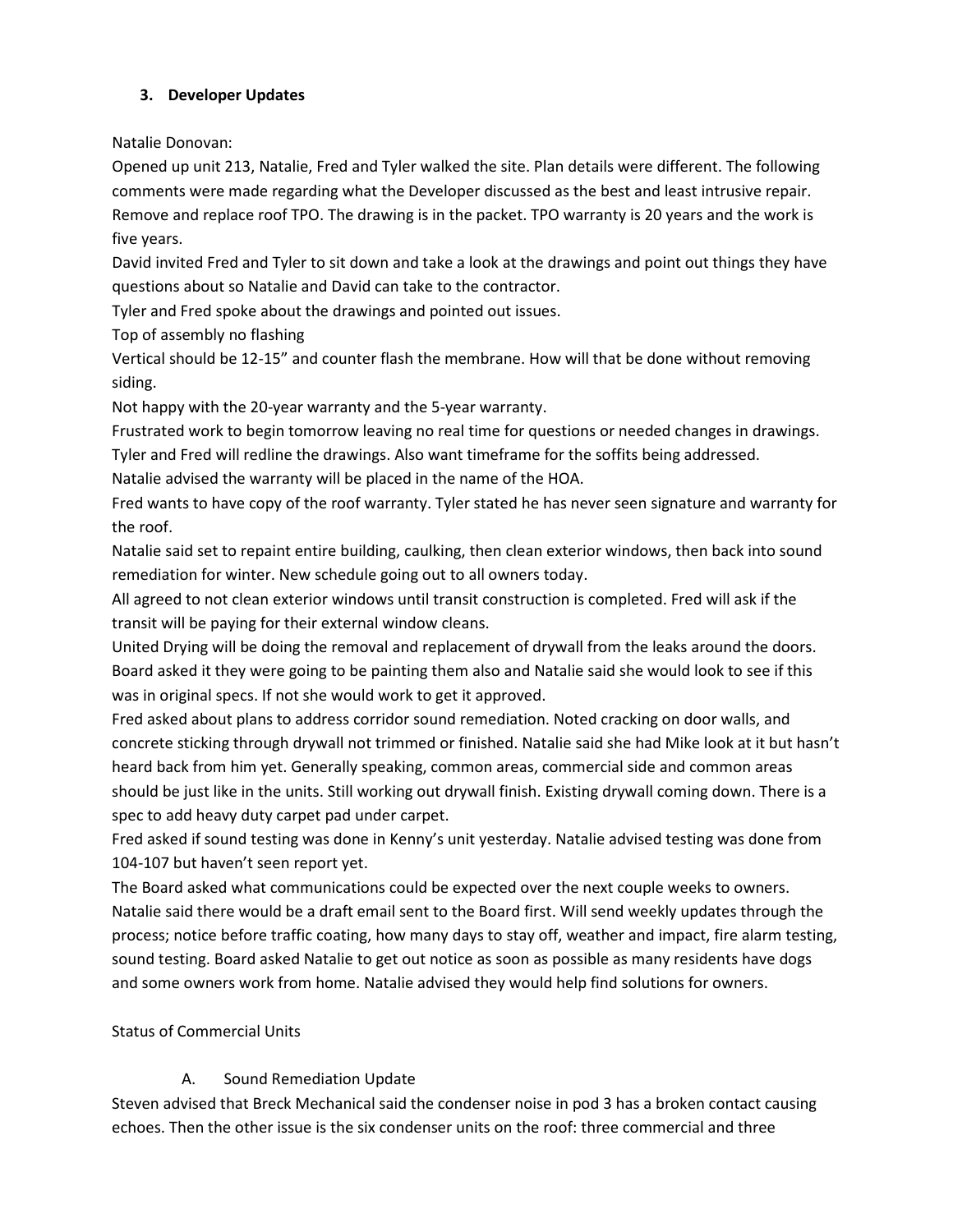# **3. Developer Updates**

Natalie Donovan:

Opened up unit 213, Natalie, Fred and Tyler walked the site. Plan details were different. The following comments were made regarding what the Developer discussed as the best and least intrusive repair. Remove and replace roof TPO. The drawing is in the packet. TPO warranty is 20 years and the work is five years.

David invited Fred and Tyler to sit down and take a look at the drawings and point out things they have questions about so Natalie and David can take to the contractor.

Tyler and Fred spoke about the drawings and pointed out issues.

Top of assembly no flashing

Vertical should be 12-15" and counter flash the membrane. How will that be done without removing siding.

Not happy with the 20-year warranty and the 5-year warranty.

Frustrated work to begin tomorrow leaving no real time for questions or needed changes in drawings.

Tyler and Fred will redline the drawings. Also want timeframe for the soffits being addressed.

Natalie advised the warranty will be placed in the name of the HOA.

Fred wants to have copy of the roof warranty. Tyler stated he has never seen signature and warranty for the roof.

Natalie said set to repaint entire building, caulking, then clean exterior windows, then back into sound remediation for winter. New schedule going out to all owners today.

All agreed to not clean exterior windows until transit construction is completed. Fred will ask if the transit will be paying for their external window cleans.

United Drying will be doing the removal and replacement of drywall from the leaks around the doors. Board asked it they were going to be painting them also and Natalie said she would look to see if this was in original specs. If not she would work to get it approved.

Fred asked about plans to address corridor sound remediation. Noted cracking on door walls, and concrete sticking through drywall not trimmed or finished. Natalie said she had Mike look at it but hasn't heard back from him yet. Generally speaking, common areas, commercial side and common areas should be just like in the units. Still working out drywall finish. Existing drywall coming down. There is a spec to add heavy duty carpet pad under carpet.

Fred asked if sound testing was done in Kenny's unit yesterday. Natalie advised testing was done from 104-107 but haven't seen report yet.

The Board asked what communications could be expected over the next couple weeks to owners. Natalie said there would be a draft email sent to the Board first. Will send weekly updates through the process; notice before traffic coating, how many days to stay off, weather and impact, fire alarm testing, sound testing. Board asked Natalie to get out notice as soon as possible as many residents have dogs and some owners work from home. Natalie advised they would help find solutions for owners.

# Status of Commercial Units

# A. Sound Remediation Update

Steven advised that Breck Mechanical said the condenser noise in pod 3 has a broken contact causing echoes. Then the other issue is the six condenser units on the roof: three commercial and three